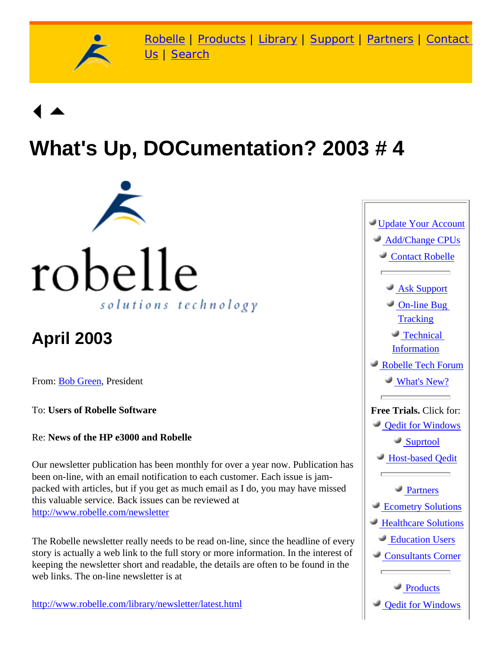

[Robelle](http://www.robelle.com/) | [Products](http://www.robelle.com/products/) | [Library](http://www.robelle.com/library/) | [Support](http://www.robelle.com/support/) | [Partners](http://www.robelle.com/partners/) | [Contact](http://www.robelle.com/contactus.html) [Us](http://www.robelle.com/contactus.html) | [Search](http://www.robelle.com/AT-search.html)

# **What's Up, DOCumentation? 2003 # 4**



## **April 2003**

From: [Bob Green,](http://www.robelle.com/robelle.html#bob) President

To: **Users of Robelle Software**

Re: **News of the HP e3000 and Robelle**

Our newsletter publication has been monthly for over a year now. Publication has been on-line, with an email notification to each customer. Each issue is jampacked with articles, but if you get as much email as I do, you may have missed this valuable service. Back issues can be reviewed at <http://www.robelle.com/newsletter>

The Robelle newsletter really needs to be read on-line, since the headline of every story is actually a web link to the full story or more information. In the interest of keeping the newsletter short and readable, the details are often to be found in the web links. The on-line newsletter is at

[http://www.robelle.com/library/newsletter/latest.html](http://www.robelle.com/newsletter/latest.html)

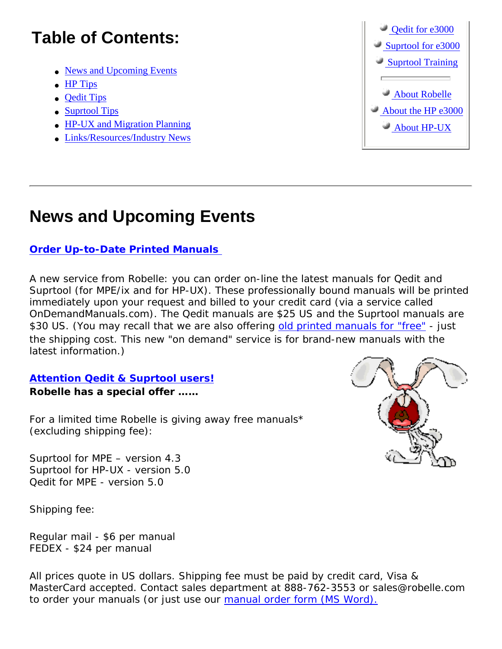## **Table of Contents:**

- [News and Upcoming Events](#page-1-0)
- [HP Tips](#page-2-0)
- [Qedit Tips](#page-3-0)
- [Suprtool Tips](#page-3-1)
- [HP-UX and Migration Planning](#page-4-0)
- [Links/Resources/Industry News](#page-5-0)



## <span id="page-1-0"></span>**News and Upcoming Events**

### **[Order Up-to-Date Printed Manuals](http://www2.ondemandmanuals.com/robelle)**

A new service from Robelle: you can order on-line the latest manuals for Qedit and Suprtool (for MPE/ix and for HP-UX). These professionally bound manuals will be printed immediately upon your request and billed to your credit card (via a service called OnDemandManuals.com). The Qedit manuals are \$25 US and the Suprtool manuals are \$30 US. (You may recall that we are also offering [old printed manuals for "free"](http://www.robelle.com/library/newsletter/=) - just the shipping cost. This new "on demand" service is for brand-new manuals with the latest information.)

### **[Attention Qedit & Suprtool users!](http://www.robelle.com/library/manuals/welcome.html#oldmanuals) Robelle has a special offer ……**

For a limited time Robelle is giving away free manuals\* (excluding shipping fee):

Suprtool for MPE – version 4.3 Suprtool for HP-UX - version 5.0 Qedit for MPE - version 5.0

Shipping fee:

Regular mail - \$6 per manual FEDEX - \$24 per manual



All prices quote in US dollars. Shipping fee must be paid by credit card, Visa & MasterCard accepted. Contact sales department at 888-762-3553 or sales@robelle.com to order your manuals (or just use our [manual order form \(MS Word\).](http://www.robelle.com/library/newsletter/manual-order-form.doc)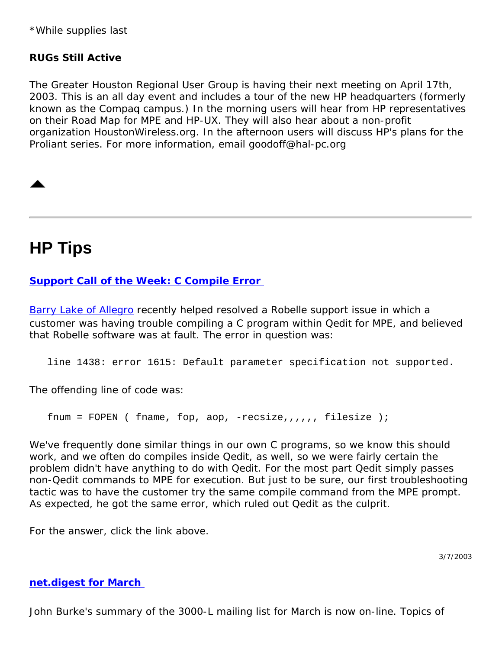\*While supplies last

#### **RUGs Still Active**

The Greater Houston Regional User Group is having their next meeting on April 17th, 2003. This is an all day event and includes a tour of the new HP headquarters (formerly known as the Compaq campus.) In the morning users will hear from HP representatives on their Road Map for MPE and HP-UX. They will also hear about a non-profit organization HoustonWireless.org. In the afternoon users will discuss HP's plans for the Proliant series. For more information, email goodoff@hal-pc.org

### <span id="page-2-0"></span>**HP Tips**

#### **[Support Call of the Week: C Compile Error](http://www.robelle.com/tips/mpe.html)**

[Barry Lake of Allegro](http://www.allegro.com/people/barry/) recently helped resolved a Robelle support issue in which a customer was having trouble compiling a C program within Qedit for MPE, and believed that Robelle software was at fault. The error in question was:

line 1438: error 1615: Default parameter specification not supported.

The offending line of code was:

fnum = FOPEN ( fname, fop, aop, -recsize,,,,,, filesize );

We've frequently done similar things in our own C programs, so we know this should work, and we often do compiles inside Qedit, as well, so we were fairly certain the problem didn't have anything to do with Qedit. For the most part Qedit simply passes non-Qedit commands to MPE for execution. But just to be sure, our first troubleshooting tactic was to have the customer try the same compile command from the MPE prompt. As expected, he got the same error, which ruled out Qedit as the culprit.

For the answer, click the link above.

3/7/2003

#### **[net.digest for March](http://www.burke-consulting.com/net_digest/nd_2003_03.htm)**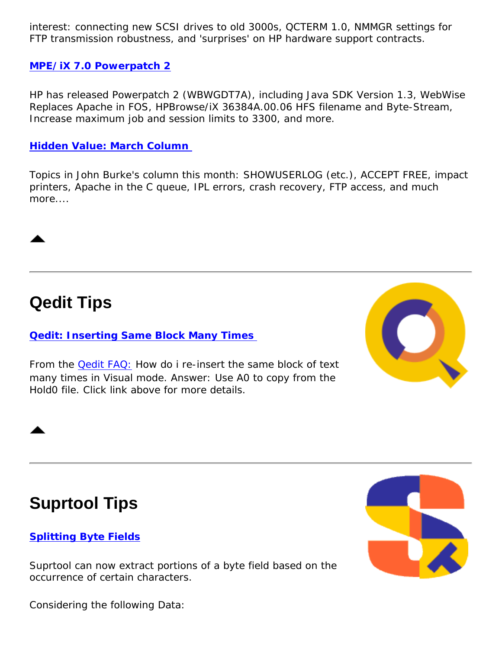interest: connecting new SCSI drives to old 3000s, QCTERM 1.0, NMMGR settings for FTP transmission robustness, and 'surprises' on HP hardware support contracts.

#### **[MPE/iX 7.0 Powerpatch 2](http://www.3kworld.com/newsroom.asp?appmode=itemDetail&news_PK=4523)**

HP has released Powerpatch 2 (WBWGDT7A), including Java SDK Version 1.3, WebWise Replaces Apache in FOS, HPBrowse/iX 36384A.00.06 HFS filename and Byte-Stream, Increase maximum job and session limits to 3300, and more.

#### **[Hidden Value: March Column](http://www.burke-consulting.com/hidden_value/HV_2003_03.htm)**

Topics in John Burke's column this month: SHOWUSERLOG (etc.), ACCEPT FREE, impact printers, Apache in the C queue, IPL errors, crash recovery, FTP access, and much more....

### <span id="page-3-0"></span>**Qedit Tips**

#### **[Qedit: Inserting Same Block Many Times](http://www.robelle.com/support/qedit/reinsert.html)**

From the [Qedit FAQ:](http://www.robelle.com/support/qedit/welcome.html) How do i re-insert the same block of text many times in Visual mode. Answer: Use A0 to copy from the Hold0 file. Click link above for more details.



### <span id="page-3-1"></span>**Suprtool Tips**

#### **[Splitting Byte Fields](http://www.robelle.com/tips/suprtool.html#split)**

Suprtool can now extract portions of a byte field based on the occurrence of certain characters.

Considering the following Data: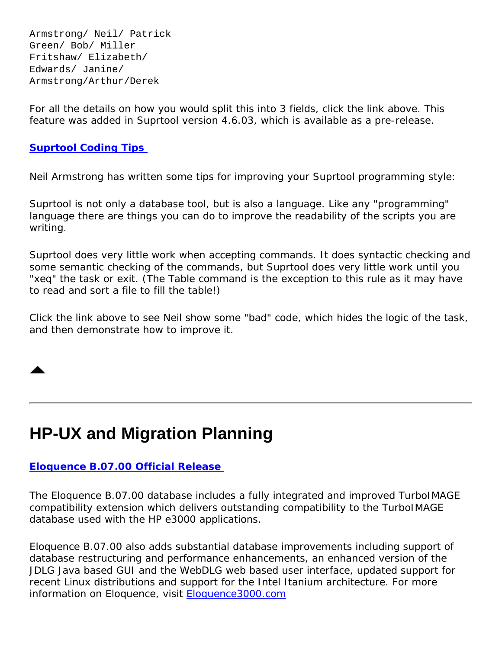Armstrong/ Neil/ Patrick Green/ Bob/ Miller Fritshaw/ Elizabeth/ Edwards/ Janine/ Armstrong/Arthur/Derek

For all the details on how you would split this into 3 fields, click the link above. This feature was added in Suprtool version 4.6.03, which is available as a pre-release.

#### **[Suprtool Coding Tips](http://www.robelle.com/tips/st-coding.html)**

Neil Armstrong has written some tips for improving your Suprtool programming style:

Suprtool is not only a database tool, but is also a language. Like any "programming" language there are things you can do to improve the readability of the scripts you are writing.

Suprtool does very little work when accepting commands. It does syntactic checking and some semantic checking of the commands, but Suprtool does very little work until you "xeq" the task or exit. (The Table command is the exception to this rule as it may have to read and sort a file to fill the table!)

Click the link above to see Neil show some "bad" code, which hides the logic of the task, and then demonstrate how to improve it.

## <span id="page-4-0"></span>**HP-UX and Migration Planning**

#### **[Eloquence B.07.00 Official Release](http://www.hp-eloquence.com/support/B07/)**

The Eloquence B.07.00 database includes a fully integrated and improved TurboIMAGE compatibility extension which delivers outstanding compatibility to the TurboIMAGE database used with the HP e3000 applications.

Eloquence B.07.00 also adds substantial database improvements including support of database restructuring and performance enhancements, an enhanced version of the JDLG Java based GUI and the WebDLG web based user interface, updated support for recent Linux distributions and support for the Intel Itanium architecture. For more information on Eloquence, visit [Eloquence3000.com](http://eloquence3000.com/)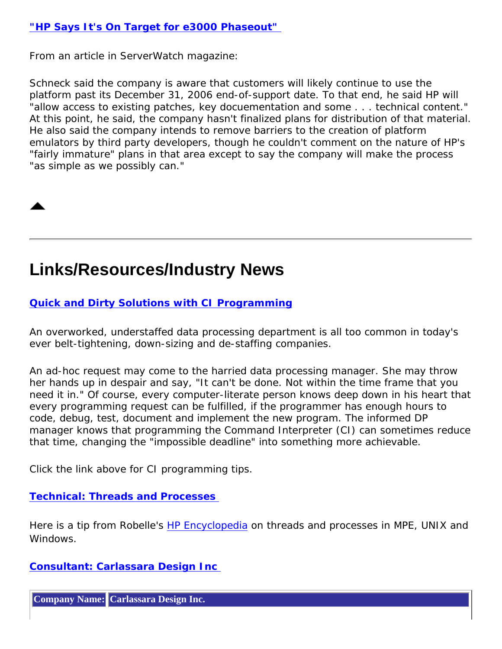#### **["HP Says It's On Target for e3000 Phaseout"](http://www.serverwatch.com/news/article.php/2170241)**

From an article in *ServerWatch* magazine:

*Schneck said the company is aware that customers will likely continue to use the platform past its December 31, 2006 end-of-support date. To that end, he said HP will "allow access to existing patches, key docuementation and some . . . technical content." At this point, he said, the company hasn't finalized plans for distribution of that material. He also said the company intends to remove barriers to the creation of platform emulators by third party developers, though he couldn't comment on the nature of HP's "fairly immature" plans in that area except to say the company will make the process "as simple as we possibly can."* 

### <span id="page-5-0"></span>**Links/Resources/Industry News**

#### **[Quick and Dirty Solutions with CI Programming](http://www.robelle.com/tips/mpe.html#ciprog)**

An overworked, understaffed data processing department is all too common in today's ever belt-tightening, down-sizing and de-staffing companies.

An ad-hoc request may come to the harried data processing manager. She may throw her hands up in despair and say, "It can't be done. Not within the time frame that you need it in." Of course, every computer-literate person knows deep down in his heart that every programming request can be fulfilled, if the programmer has enough hours to code, debug, test, document and implement the new program. The informed DP manager knows that programming the Command Interpreter (CI) can sometimes reduce that time, changing the "impossible deadline" into something more achievable.

Click the link above for CI programming tips.

#### **[Technical: Threads and Processes](http://www.robelle.com/library/smugbook/process.html)**

Here is a tip from Robelle's [HP Encyclopedia](http://www.robelle.com/library/smugbook/) on threads and processes in MPE, UNIX and Windows.

#### **[Consultant: Carlassara Design Inc](http://www.robelle.com/consultants.html#Carlassara)**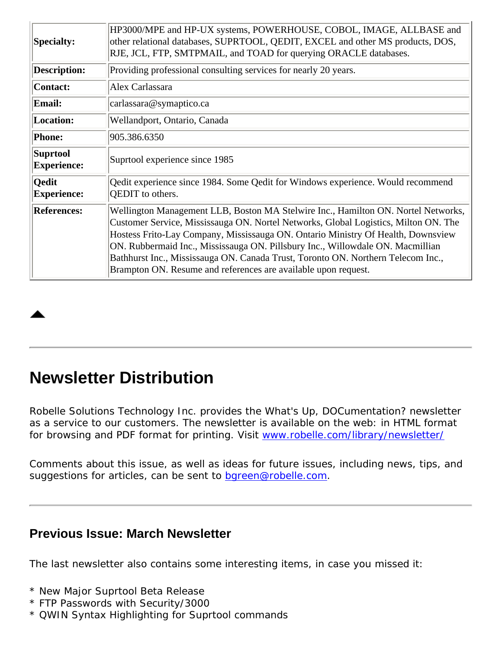| <b>Specialty:</b>                     | HP3000/MPE and HP-UX systems, POWERHOUSE, COBOL, IMAGE, ALLBASE and<br>other relational databases, SUPRTOOL, QEDIT, EXCEL and other MS products, DOS,<br>RJE, JCL, FTP, SMTPMAIL, and TOAD for querying ORACLE databases.                                                                                                                                                                                                                                                                            |
|---------------------------------------|------------------------------------------------------------------------------------------------------------------------------------------------------------------------------------------------------------------------------------------------------------------------------------------------------------------------------------------------------------------------------------------------------------------------------------------------------------------------------------------------------|
| <b>Description:</b>                   | Providing professional consulting services for nearly 20 years.                                                                                                                                                                                                                                                                                                                                                                                                                                      |
| <b>Contact:</b>                       | Alex Carlassara                                                                                                                                                                                                                                                                                                                                                                                                                                                                                      |
| <b>Email:</b>                         | carlassara@symaptico.ca                                                                                                                                                                                                                                                                                                                                                                                                                                                                              |
| Location:                             | Wellandport, Ontario, Canada                                                                                                                                                                                                                                                                                                                                                                                                                                                                         |
| <b>Phone:</b>                         | 905.386.6350                                                                                                                                                                                                                                                                                                                                                                                                                                                                                         |
| <b>Suprtool</b><br><b>Experience:</b> | Suprtool experience since 1985                                                                                                                                                                                                                                                                                                                                                                                                                                                                       |
| <b>Qedit</b><br><b>Experience:</b>    | Qedit experience since 1984. Some Qedit for Windows experience. Would recommend<br>QEDIT to others.                                                                                                                                                                                                                                                                                                                                                                                                  |
| <b>References:</b>                    | Wellington Management LLB, Boston MA Stelwire Inc., Hamilton ON. Nortel Networks,<br>Customer Service, Mississauga ON. Nortel Networks, Global Logistics, Milton ON. The<br>Hostess Frito-Lay Company, Mississauga ON. Ontario Ministry Of Health, Downsview<br>ON. Rubbermaid Inc., Mississauga ON. Pillsbury Inc., Willowdale ON. Macmillian<br>Bathhurst Inc., Mississauga ON. Canada Trust, Toronto ON. Northern Telecom Inc.,<br>Brampton ON. Resume and references are available upon request. |

### **Newsletter Distribution**

Robelle Solutions Technology Inc. provides the *What's Up, DOCumentation?* newsletter as a service to our customers. The newsletter is available on the web: in HTML format for browsing and PDF format for printing. Visit [www.robelle.com/library/newsletter/](http://www.robelle.com/library/newsletter/)

Comments about this issue, as well as ideas for future issues, including news, tips, and suggestions for articles, can be sent to [bgreen@robelle.com.](mailto:bgreen@robelle.com)

### **Previous Issue: March Newsletter**

The last newsletter also contains some interesting items, in case you missed it:

- \* New Major Suprtool Beta Release
- \* FTP Passwords with Security/3000
- \* QWIN Syntax Highlighting for Suprtool commands